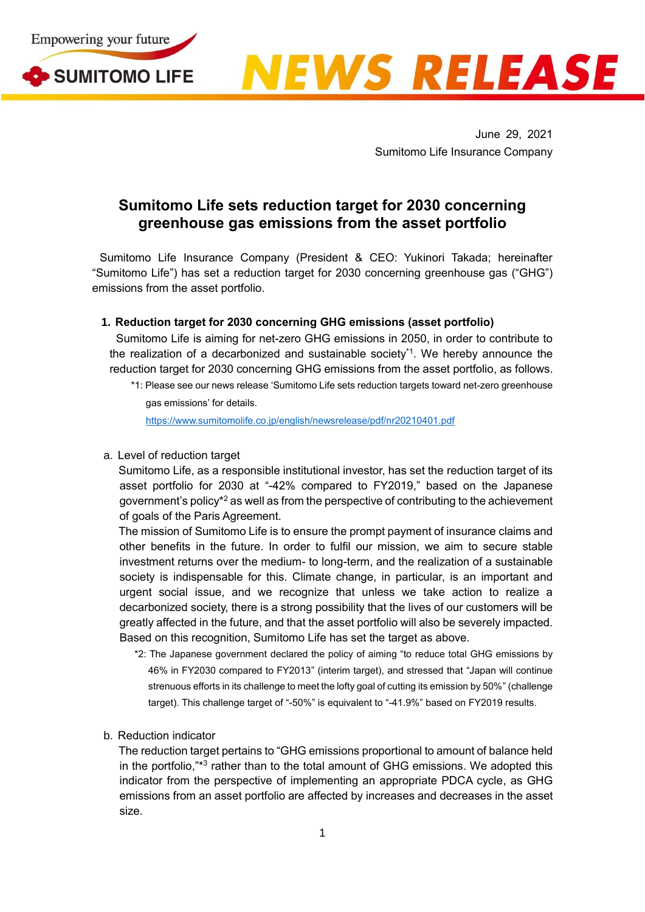



June 29, 2021 Sumitomo Life Insurance Company

## **Sumitomo Life sets reduction target for 2030 concerning greenhouse gas emissions from the asset portfolio**

Sumitomo Life Insurance Company (President & CEO: Yukinori Takada; hereinafter "Sumitomo Life") has set a reduction target for 2030 concerning greenhouse gas ("GHG") emissions from the asset portfolio.

## **1. Reduction target for 2030 concerning GHG emissions (asset portfolio)**

Sumitomo Life is aiming for net-zero GHG emissions in 2050, in order to contribute to the realization of a decarbonized and sustainable society<sup>\*1</sup>. We hereby announce the reduction target for 2030 concerning GHG emissions from the asset portfolio, as follows.

<https://www.sumitomolife.co.jp/english/newsrelease/pdf/nr20210401.pdf>

a. Level of reduction target

Sumitomo Life, as a responsible institutional investor, has set the reduction target of its asset portfolio for 2030 at "-42% compared to FY2019," based on the Japanese government's policy\*<sup>2</sup> as well as from the perspective of contributing to the achievement of goals of the Paris Agreement.

The mission of Sumitomo Life is to ensure the prompt payment of insurance claims and other benefits in the future. In order to fulfil our mission, we aim to secure stable investment returns over the medium- to long-term, and the realization of a sustainable society is indispensable for this. Climate change, in particular, is an important and urgent social issue, and we recognize that unless we take action to realize a decarbonized society, there is a strong possibility that the lives of our customers will be greatly affected in the future, and that the asset portfolio will also be severely impacted. Based on this recognition, Sumitomo Life has set the target as above.

- \*2: The Japanese government declared the policy of aiming "to reduce total GHG emissions by 46% in FY2030 compared to FY2013" (interim target), and stressed that "Japan will continue strenuous efforts in its challenge to meet the lofty goal of cutting its emission by 50%" (challenge target). This challenge target of "-50%" is equivalent to "-41.9%" based on FY2019 results.
- b. Reduction indicator

The reduction target pertains to "GHG emissions proportional to amount of balance held in the portfolio,"\*<sup>3</sup> rather than to the total amount of GHG emissions. We adopted this indicator from the perspective of implementing an appropriate PDCA cycle, as GHG emissions from an asset portfolio are affected by increases and decreases in the asset size.

<sup>\*1:</sup> Please see our news release 'Sumitomo Life sets reduction targets toward net-zero greenhouse gas emissions' for details.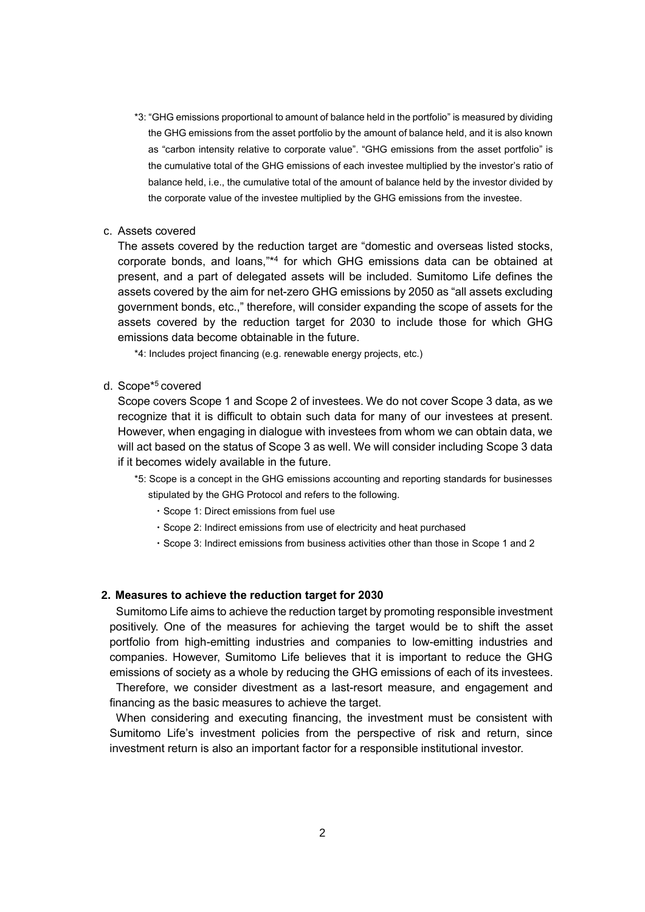- \*3: "GHG emissions proportional to amount of balance held in the portfolio" is measured by dividing the GHG emissions from the asset portfolio by the amount of balance held, and it is also known as "carbon intensity relative to corporate value". "GHG emissions from the asset portfolio" is the cumulative total of the GHG emissions of each investee multiplied by the investor's ratio of balance held, i.e., the cumulative total of the amount of balance held by the investor divided by the corporate value of the investee multiplied by the GHG emissions from the investee.
- c. Assets covered

The assets covered by the reduction target are "domestic and overseas listed stocks, corporate bonds, and loans,"\* 4 for which GHG emissions data can be obtained at present, and a part of delegated assets will be included. Sumitomo Life defines the assets covered by the aim for net-zero GHG emissions by 2050 as "all assets excluding government bonds, etc.," therefore, will consider expanding the scope of assets for the assets covered by the reduction target for 2030 to include those for which GHG emissions data become obtainable in the future.

\*4: Includes project financing (e.g. renewable energy projects, etc.)

d. Scope\*<sup>5</sup> covered

Scope covers Scope 1 and Scope 2 of investees. We do not cover Scope 3 data, as we recognize that it is difficult to obtain such data for many of our investees at present. However, when engaging in dialogue with investees from whom we can obtain data, we will act based on the status of Scope 3 as well. We will consider including Scope 3 data if it becomes widely available in the future.

- \*5: Scope is a concept in the GHG emissions accounting and reporting standards for businesses
	- stipulated by the GHG Protocol and refers to the following. ・Scope 1: Direct emissions from fuel use
		- ・Scope 2: Indirect emissions from use of electricity and heat purchased
		- ・Scope 3: Indirect emissions from business activities other than those in Scope 1 and 2

## **2. Measures to achieve the reduction target for 2030**

Sumitomo Life aims to achieve the reduction target by promoting responsible investment positively. One of the measures for achieving the target would be to shift the asset portfolio from high-emitting industries and companies to low-emitting industries and companies. However, Sumitomo Life believes that it is important to reduce the GHG emissions of society as a whole by reducing the GHG emissions of each of its investees.

Therefore, we consider divestment as a last-resort measure, and engagement and financing as the basic measures to achieve the target.

When considering and executing financing, the investment must be consistent with Sumitomo Life's investment policies from the perspective of risk and return, since investment return is also an important factor for a responsible institutional investor.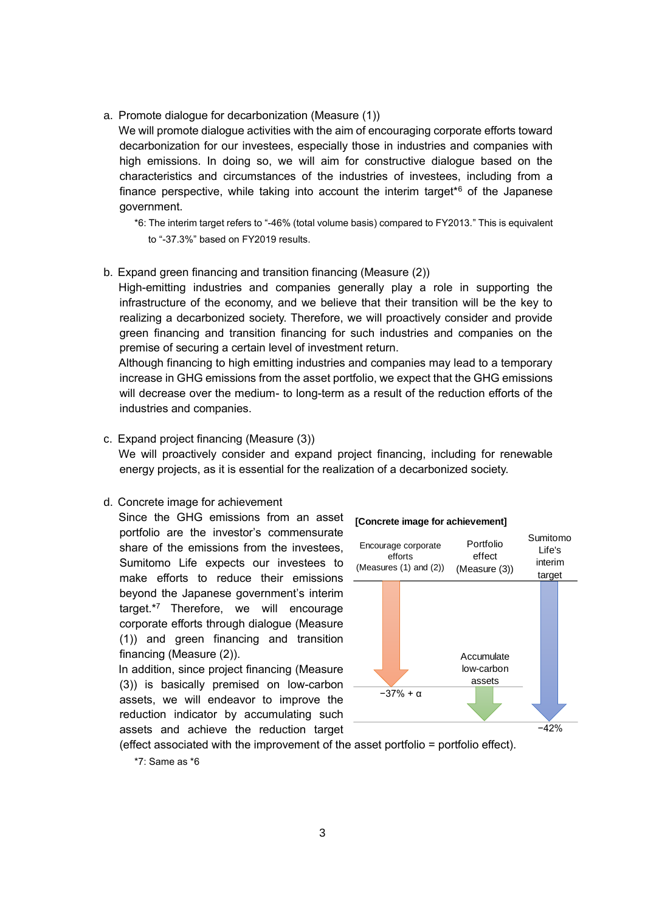a. Promote dialogue for decarbonization (Measure (1))

We will promote dialogue activities with the aim of encouraging corporate efforts toward decarbonization for our investees, especially those in industries and companies with high emissions. In doing so, we will aim for constructive dialogue based on the characteristics and circumstances of the industries of investees, including from a finance perspective, while taking into account the interim target<sup> $6$ </sup> of the Japanese government.

- \*6: The interim target refers to "-46% (total volume basis) compared to FY2013." This is equivalent to "-37.3%" based on FY2019 results.
- b. Expand green financing and transition financing (Measure (2))

High-emitting industries and companies generally play a role in supporting the infrastructure of the economy, and we believe that their transition will be the key to realizing a decarbonized society. Therefore, we will proactively consider and provide green financing and transition financing for such industries and companies on the premise of securing a certain level of investment return.

Although financing to high emitting industries and companies may lead to a temporary increase in GHG emissions from the asset portfolio, we expect that the GHG emissions will decrease over the medium- to long-term as a result of the reduction efforts of the industries and companies.

c. Expand project financing (Measure (3)) We will proactively consider and expand project financing, including for renewable energy projects, as it is essential for the realization of a decarbonized society.

## d. Concrete image for achievement

Since the GHG emissions from an asset portfolio are the investor's commensurate share of the emissions from the investees, Sumitomo Life expects our investees to make efforts to reduce their emissions beyond the Japanese government's interim target.\*<sup>7</sup> Therefore, we will encourage corporate efforts through dialogue (Measure (1)) and green financing and transition financing (Measure (2)).

In addition, since project financing (Measure (3)) is basically premised on low-carbon assets, we will endeavor to improve the reduction indicator by accumulating such assets and achieve the reduction target



**[Concrete image for achievement]**

(effect associated with the improvement of the asset portfolio = portfolio effect).

<sup>\*7:</sup> Same as \*6